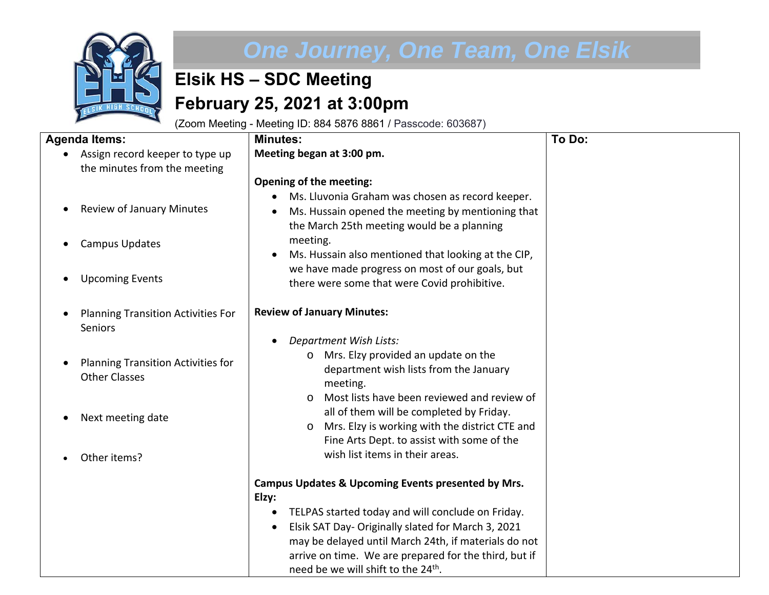

## *One Journey, One Team, One Elsik*

## **Elsik HS – SDC Meeting February 25, 2021 at 3:00pm**

(Zoom Meeting - Meeting ID: 884 5876 8861 / Passcode: 603687)

| <b>Agenda Items:</b>                                              | <b>Minutes:</b>                                                                                                                                                                                                        | To Do: |
|-------------------------------------------------------------------|------------------------------------------------------------------------------------------------------------------------------------------------------------------------------------------------------------------------|--------|
| Assign record keeper to type up<br>the minutes from the meeting   | Meeting began at 3:00 pm.                                                                                                                                                                                              |        |
|                                                                   | <b>Opening of the meeting:</b>                                                                                                                                                                                         |        |
| <b>Review of January Minutes</b><br>$\bullet$                     | Ms. Lluvonia Graham was chosen as record keeper.<br>Ms. Hussain opened the meeting by mentioning that<br>the March 25th meeting would be a planning                                                                    |        |
| <b>Campus Updates</b>                                             | meeting.<br>Ms. Hussain also mentioned that looking at the CIP,                                                                                                                                                        |        |
| <b>Upcoming Events</b><br>$\bullet$                               | we have made progress on most of our goals, but<br>there were some that were Covid prohibitive.                                                                                                                        |        |
| <b>Planning Transition Activities For</b><br><b>Seniors</b>       | <b>Review of January Minutes:</b>                                                                                                                                                                                      |        |
| <b>Planning Transition Activities for</b><br><b>Other Classes</b> | <b>Department Wish Lists:</b><br>Mrs. Elzy provided an update on the<br>$\circ$<br>department wish lists from the January<br>meeting.                                                                                  |        |
| Next meeting date                                                 | Most lists have been reviewed and review of<br>$\Omega$<br>all of them will be completed by Friday.<br>Mrs. Elzy is working with the district CTE and<br>$\circ$<br>Fine Arts Dept. to assist with some of the         |        |
| Other items?                                                      | wish list items in their areas.                                                                                                                                                                                        |        |
|                                                                   | Campus Updates & Upcoming Events presented by Mrs.<br>Elzy:<br>TELPAS started today and will conclude on Friday.                                                                                                       |        |
|                                                                   | Elsik SAT Day- Originally slated for March 3, 2021<br>may be delayed until March 24th, if materials do not<br>arrive on time. We are prepared for the third, but if<br>need be we will shift to the 24 <sup>th</sup> . |        |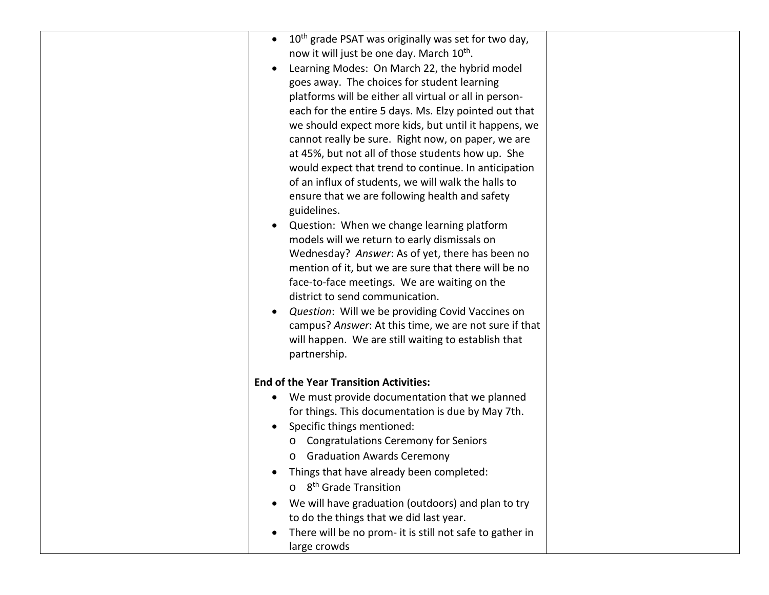| 10 <sup>th</sup> grade PSAT was originally was set for two day,<br>$\bullet$ |  |
|------------------------------------------------------------------------------|--|
| now it will just be one day. March 10 <sup>th</sup> .                        |  |
| Learning Modes: On March 22, the hybrid model                                |  |
| goes away. The choices for student learning                                  |  |
| platforms will be either all virtual or all in person-                       |  |
| each for the entire 5 days. Ms. Elzy pointed out that                        |  |
| we should expect more kids, but until it happens, we                         |  |
| cannot really be sure. Right now, on paper, we are                           |  |
| at 45%, but not all of those students how up. She                            |  |
| would expect that trend to continue. In anticipation                         |  |
| of an influx of students, we will walk the halls to                          |  |
| ensure that we are following health and safety                               |  |
| guidelines.                                                                  |  |
| Question: When we change learning platform<br>$\bullet$                      |  |
| models will we return to early dismissals on                                 |  |
| Wednesday? Answer: As of yet, there has been no                              |  |
| mention of it, but we are sure that there will be no                         |  |
| face-to-face meetings. We are waiting on the                                 |  |
| district to send communication.                                              |  |
| Question: Will we be providing Covid Vaccines on                             |  |
| campus? Answer: At this time, we are not sure if that                        |  |
| will happen. We are still waiting to establish that                          |  |
| partnership.                                                                 |  |
|                                                                              |  |
| <b>End of the Year Transition Activities:</b>                                |  |
| We must provide documentation that we planned                                |  |
| for things. This documentation is due by May 7th.                            |  |
| Specific things mentioned:                                                   |  |
| <b>Congratulations Ceremony for Seniors</b><br>$\circ$                       |  |
| <b>Graduation Awards Ceremony</b><br>$\circ$                                 |  |
| Things that have already been completed:                                     |  |
| o 8 <sup>th</sup> Grade Transition                                           |  |
| We will have graduation (outdoors) and plan to try                           |  |
| to do the things that we did last year.                                      |  |
| There will be no prom- it is still not safe to gather in                     |  |
| large crowds                                                                 |  |